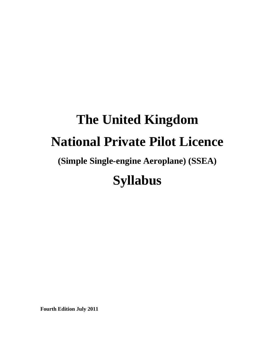# **The United Kingdom National Private Pilot Licence**

## **(Simple Single-engine Aeroplane) (SSEA)**

# **Syllabus**

**Fourth Edition July 2011**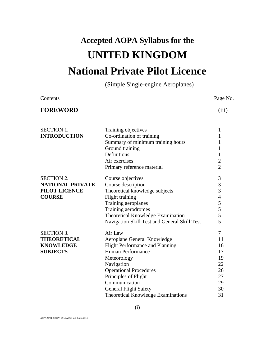# **Accepted AOPA Syllabus for the UNITED KINGDOM National Private Pilot Licence**

(Simple Single-engine Aeroplanes)

| Contents                                                                       |                                                                                                                                                                                                                                                                                                  | Page No.                                                      |
|--------------------------------------------------------------------------------|--------------------------------------------------------------------------------------------------------------------------------------------------------------------------------------------------------------------------------------------------------------------------------------------------|---------------------------------------------------------------|
| <b>FOREWORD</b>                                                                |                                                                                                                                                                                                                                                                                                  | (iii)                                                         |
| <b>SECTION 1.</b><br><b>INTRODUCTION</b>                                       | Training objectives<br>Co-ordination of training<br>Summary of minimum training hours<br>Ground training<br>Definitions                                                                                                                                                                          | 1<br>1<br>1<br>1<br>$\mathbf{1}$                              |
|                                                                                | Air exercises<br>Primary reference material                                                                                                                                                                                                                                                      | $\overline{c}$<br>$\overline{2}$                              |
| <b>SECTION 2.</b><br><b>NATIONAL PRIVATE</b><br>PILOT LICENCE<br><b>COURSE</b> | Course objectives<br>Course description<br>Theoretical knowledge subjects<br>Flight training<br>Training aeroplanes<br>Training aerodromes<br>Theoretical Knowledge Examination<br>Navigation Skill Test and General Skill Test                                                                  | 3<br>3<br>3<br>$\overline{4}$<br>5<br>5<br>5<br>5             |
| <b>SECTION 3.</b><br><b>THEORETICAL</b><br><b>KNOWLEDGE</b><br><b>SUBJECTS</b> | Air Law<br>Aeroplane General Knowledge<br><b>Flight Performance and Planning</b><br><b>Human Performance</b><br>Meteorology<br>Navigation<br><b>Operational Procedures</b><br>Principles of Flight<br>Communication<br><b>General Flight Safety</b><br><b>Theoretical Knowledge Examinations</b> | 7<br>11<br>16<br>17<br>19<br>22<br>26<br>27<br>29<br>30<br>31 |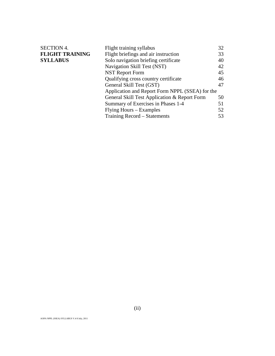| <b>SECTION 4.</b>      | Flight training syllabus                        | 32 |
|------------------------|-------------------------------------------------|----|
| <b>FLIGHT TRAINING</b> | Flight briefings and air instruction            | 33 |
| <b>SYLLABUS</b>        | Solo navigation briefing certificate            | 40 |
|                        | Navigation Skill Test (NST)                     | 42 |
|                        | <b>NST Report Form</b>                          | 45 |
|                        | Qualifying cross country certificate            | 46 |
|                        | General Skill Test (GST)                        | 47 |
|                        | Application and Report Form NPPL (SSEA) for the |    |
|                        | General Skill Test Application & Report Form    | 50 |
|                        | Summary of Exercises in Phases 1-4              | 51 |
|                        | Flying Hours – Examples                         | 52 |
|                        | Training Record – Statements                    | 53 |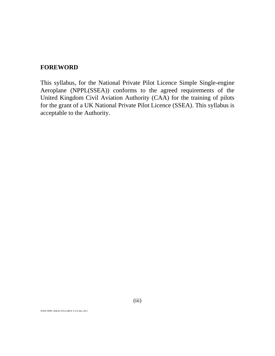## **FOREWORD**

This syllabus, for the National Private Pilot Licence Simple Single-engine Aeroplane (NPPL(SSEA)) conforms to the agreed requirements of the United Kingdom Civil Aviation Authority (CAA) for the training of pilots for the grant of a UK National Private Pilot Licence (SSEA). This syllabus is acceptable to the Authority.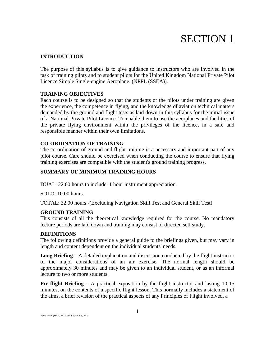# SECTION 1

## **INTRODUCTION**

The purpose of this syllabus is to give guidance to instructors who are involved in the task of training pilots and to student pilots for the United Kingdom National Private Pilot Licence Simple Single-engine Aeroplane. (NPPL (SSEA)).

## **TRAINING OBJECTIVES**

Each course is to be designed so that the students or the pilots under training are given the experience, the competence in flying, and the knowledge of aviation technical matters demanded by the ground and flight tests as laid down in this syllabus for the initial issue of a National Private Pilot Licence. To enable them to use the aeroplanes and facilities of the private flying environment within the privileges of the licence, in a safe and responsible manner within their own limitations.

## **CO-ORDINATION OF TRAINING**

The co-ordination of ground and flight training is a necessary and important part of any pilot course. Care should be exercised when conducting the course to ensure that flying training exercises are compatible with the student's ground training progress.

## **SUMMARY OF MINIMUM TRAINING HOURS**

DUAL: 22.00 hours to include: 1 hour instrument appreciation.

SOLO: 10.00 hours.

TOTAL: 32.00 hours -(Excluding Navigation Skill Test and General Skill Test)

## **GROUND TRAINING**

This consists of all the theoretical knowledge required for the course. No mandatory lecture periods are laid down and training may consist of directed self study.

## **DEFINITIONS**

The following definitions provide a general guide to the briefings given, but may vary in length and content dependent on the individual students' needs.

**Long Briefing** – A detailed explanation and discussion conducted by the flight instructor of the major considerations of an air exercise. The normal length should be approximately 30 minutes and may be given to an individual student, or as an informal lecture to two or more students.

**Pre-flight Briefing** – A practical exposition by the flight instructor and lasting 10-15 minutes, on the contents of a specific flight lesson. This normally includes a statement of the aims, a brief revision of the practical aspects of any Principles of Flight involved, a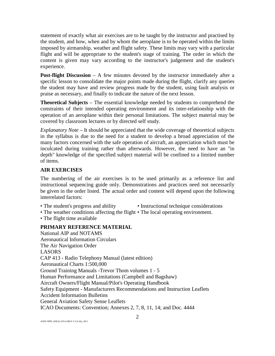statement of exactly what air exercises are to be taught by the instructor and practised by the student, and how, when and by whom the aeroplane is to be operated within the limits imposed by airmanship, weather and flight safety. These limits may vary with a particular flight and will be appropriate to the student's stage of training. The order in which the content is given may vary according to the instructor's judgement and the student's experience.

**Post-flight Discussion** – A few minutes devoted by the instructor immediately after a specific lesson to consolidate the major points made during the flight, clarify any queries the student may have and review progress made by the student, using fault analysis or praise as necessary, and finally to indicate the nature of the next lesson.

**Theoretical Subjects** – The essential knowledge needed by students to comprehend the constraints of their intended operating environment and its inter-relationship with the operation of an aeroplane within their personal limitations. The subject material may be covered by classroom lectures or by directed self study.

*Explanatory Note* – It should be appreciated that the wide coverage of theoretical subjects in the syllabus is due to the need for a student to develop a broad appreciation of the many factors concerned with the safe operation of aircraft, an appreciation which must be inculcated during training rather than afterwards. However, the need to have an "in depth" knowledge of the specified subject material will be confined to a limited number of items.

## **AIR EXERCISES**

The numbering of the air exercises is to be used primarily as a reference list and instructional sequencing guide only. Demonstrations and practices need not necessarily be given in the order listed. The actual order and content will depend upon the following interrelated factors:

- The student's progress and ability Instructional technique considerations
- The weather conditions affecting the flight The local operating environment.
- The flight time available

## **PRIMARY REFERENCE MATERIAL**

National AIP and NOTAMS Aeronautical Information Circulars The Air Navigation Order LASORS CAP 413 - Radio Telephony Manual (latest edition) Aeronautical Charts 1:500,000 Ground Training Manuals -Trevor Thom volumes 1 - 5 Human Performance and Limitations (Campbell and Bagshaw) Aircraft Owners/Flight Manual/Pilot's Operating Handbook Safety Equipment - Manufacturers Recommendations and Instruction Leaflets Accident Information Bulletins General Aviation Safety Sense Leaflets ICAO Documents: Convention; Annexes 2, 7, 8, 11, 14; and Doc. 4444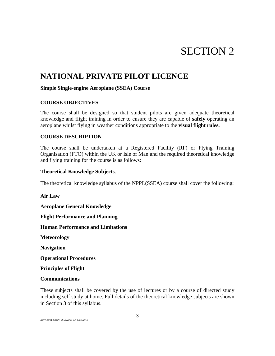# SECTION 2

## **NATIONAL PRIVATE PILOT LICENCE**

### **Simple Single-engine Aeroplane (SSEA) Course**

## **COURSE OBJECTIVES**

The course shall be designed so that student pilots are given adequate theoretical knowledge and flight training in order to ensure they are capable of **safely** operating an aeroplane whilst flying in weather conditions appropriate to the **visual flight rules.** 

## **COURSE DESCRIPTION**

The course shall be undertaken at a Registered Facility (RF) or Flying Training Organisation (FTO) within the UK or Isle of Man and the required theoretical knowledge and flying training for the course is as follows:

## **Theoretical Knowledge Subjects**:

The theoretical knowledge syllabus of the NPPL(SSEA) course shall cover the following:

**Air Law**

**Aeroplane General Knowledge**

**Flight Performance and Planning**

**Human Performance and Limitations**

**Meteorology**

**Navigation**

**Operational Procedures**

**Principles of Flight**

## **Communications**

These subjects shall be covered by the use of lectures or by a course of directed study including self study at home. Full details of the theoretical knowledge subjects are shown in Section 3 of this syllabus.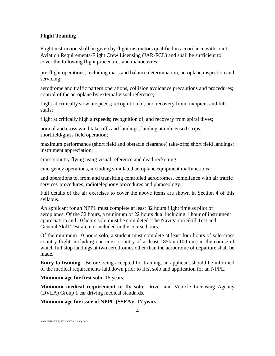## **Flight Training**

Flight instruction shall be given by flight instructors qualified in accordance with Joint Aviation Requirements-Flight Crew Licensing (JAR-FCL) and shall be sufficient to cover the following flight procedures and manoeuvres:

pre-flight operations, including mass and balance determination, aeroplane inspection and servicing;

aerodrome and traffic pattern operations, collision avoidance precautions and procedures; control of the aeroplane by external visual reference;

flight at critically slow airspeeds; recognition of, and recovery from, incipient and full stalls;

flight at critically high airspeeds; recognition of, and recovery from spiral dives;

normal and cross wind take-offs and landings, landing at unlicensed strips, shortfield/grass field operation;

maximum performance (short field and obstacle clearance) take-offs; short field landings; instrument appreciation;

cross-country flying using visual reference and dead reckoning;

emergency operations, including simulated aeroplane equipment malfunctions;

and operations to, from and transitting controlled aerodromes, compliance with air traffic services, procedures, radiotelephony procedures and phraseology.

Full details of the air exercises to cover the above items are shown in Section 4 of this syllabus.

An applicant for an NPPL must complete at least 32 hours flight time as pilot of aeroplanes. Of the 32 hours, a minimum of 22 hours dual including 1 hour of instrument appreciation and 10 hours solo must be completed. The Navigation Skill Test and General Skill Test are not included in the course hours.

Of the minimum 10 hours solo, a student must complete at least four hours of solo cross country flight, including one cross country of at least 185km (100 nm) in the course of which full stop landings at two aerodromes other than the aerodrome of departure shall be made.

**Entry to training** Before being accepted for training, an applicant should be informed of the medical requirements laid down prior to first solo and application for an NPPL.

**Minimum age for first solo**: 16 years.

**Minimum medical requirement to fly solo**: Driver and Vehicle Licensing Agency (DVLA) Group 1 car driving medical standards.

**Minimum age for issue of NPPL (SSEA): 17 years**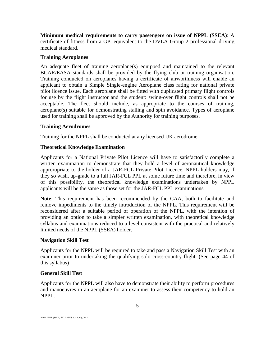**Minimum medical requirements to carry passengers on issue of NPPL (SSEA)**: A certificate of fitness from a GP, equivalent to the DVLA Group 2 professional driving medical standard.

## **Training Aeroplanes**

An adequate fleet of training aeroplane(s) equipped and maintained to the relevant BCAR/EASA standards shall be provided by the flying club or training organisation. Training conducted on aeroplanes having a certificate of airworthiness will enable an applicant to obtain a Simple Single-engine Aeroplane class rating for national private pilot licence issue. Each aeroplane shall be fitted with duplicated primary flight controls for use by the flight instructor and the student: swing-over flight controls shall not be acceptable. The fleet should include, as appropriate to the courses of training, aeroplane(s) suitable for demonstrating stalling and spin avoidance. Types of aeroplane used for training shall be approved by the Authority for training purposes.

## **Training Aerodromes**

Training for the NPPL shall be conducted at any licensed UK aerodrome.

## **Theoretical Knowledge Examination**

Applicants for a National Private Pilot Licence will have to satisfactorily complete a written examination to demonstrate that they hold a level of aeronautical knowledge approropriate to the holder of a JAR-FCL Private Pilot Licence. NPPL holders may, if they so wish, up-grade to a full JAR-FCL PPL at some future time and therefore, in view of this possibility, the theoretical knowledge examinations undertaken by NPPL applicants will be the same as those set for the JAR-FCL PPL examinations.

**Note**: This requirement has been recommended by the CAA, both to facilitate and remove impediments to the timely introduction of the NPPL. This requirement will be reconsidered after a suitable period of operation of the NPPL, with the intention of providing an option to take a simpler written examination, with theoretical knowledge syllabus and examinations reduced to a level consistent with the practical and relatively limited needs of the NPPL (SSEA) holder.

## **Navigation Skill Test**

Applicants for the NPPL will be required to take and pass a Navigation Skill Test with an examiner prior to undertaking the qualifying solo cross-country flight. (See page 44 of this syllabus)

## **General Skill Test**

Applicants for the NPPL will also have to demonstrate their ability to perform procedures and manoeuvres in an aeroplane for an examiner to assess their competency to hold an NPPL.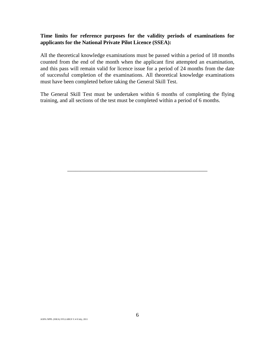## **Time limits for reference purposes for the validity periods of examinations for applicants for the National Private Pilot Licence (SSEA):**

All the theoretical knowledge examinations must be passed within a period of 18 months counted from the end of the month when the applicant first attempted an examination, and this pass will remain valid for licence issue for a period of 24 months from the date of successful completion of the examinations. All theoretical knowledge examinations must have been completed before taking the General Skill Test.

The General Skill Test must be undertaken within 6 months of completing the flying training, and all sections of the test must be completed within a period of 6 months.

\_\_\_\_\_\_\_\_\_\_\_\_\_\_\_\_\_\_\_\_\_\_\_\_\_\_\_\_\_\_\_\_\_\_\_\_\_\_\_\_\_\_\_\_\_\_\_\_\_\_\_\_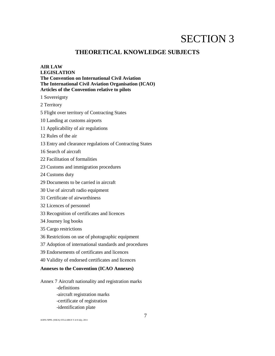## SECTION 3

## **THEORETICAL KNOWLEDGE SUBJECTS**

## **AIR LAW LEGISLATION The Convention on International Civil Aviation The International Civil Aviation Organisation (ICAO) Articles of the Convention relative to pilots**

1 Sovereignty

2 Territory

- 5 Flight over territory of Contracting States
- 10 Landing at customs airports
- 11 Applicability of air regulations
- 12 Rules of the air
- 13 Entry and clearance regulations of Contracting States
- 16 Search of aircraft
- 22 Facilitation of formalities
- 23 Customs and immigration procedures
- 24 Customs duty
- 29 Documents to be carried in aircraft
- 30 Use of aircraft radio equipment
- 31 Certificate of airworthiness
- 32 Licences of personnel
- 33 Recognition of certificates and licences
- 34 Journey log books
- 35 Cargo restrictions
- 36 Restrictions on use of photographic equipment
- 37 Adoption of international standards and procedures
- 39 Endorsements of certificates and licences
- 40 Validity of endorsed certificates and licences

## **Annexes to the Convention (ICAO Annexes)**

Annex 7 Aircraft nationality and registration marks -definitions -aircraft registration marks -certificate of registration -identification plate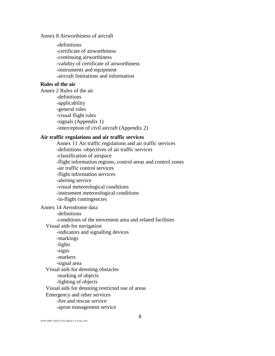## Annex 8 Airworthiness of aircraft

-definitions -certificate of airworthiness -continuing airworthiness -validity of certificate of airworthiness -instruments and equipment -aircraft limitations and information

## **Rules of the air**

Annex 2 Rules of the air -definitions -applicability -general rules -visual flight rules -signals (Appendix 1) -interception of civil aircraft (Appendix 2)

## **Air traffic regulations and air traffic services**

Annex 11 Air traffic regulations and air traffic services -definitions -objectives of air traffic services -classification of airspace -flight information regions, control areas and control zones -air traffic control services -flight information services -alerting service -visual meteorological conditions -instrument meteorological conditions -in-flight contingencies

## Annex 14 Aerodrome data

-definitions -conditions of the movement area and related facilities

Visual aids for navigation

-indicators and signalling devices

-markings -lights -signs -markers -signal area Visual aids for denoting obstacles -marking of objects -lighting of objects Visual aids for denoting restricted use of areas Emergency and other services -fire and rescue service -apron management service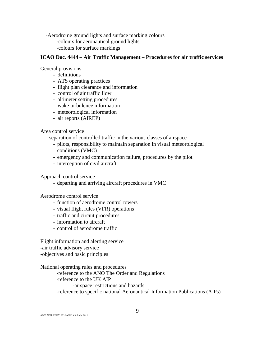-Aerodrome ground lights and surface marking colours -colours for aeronautical ground lights -colours for surface markings

#### **ICAO Doc. 4444 – Air Traffic Management – Procedures for air traffic services**

General provisions

- definitions
- ATS operating practices
- flight plan clearance and information
- control of air traffic flow
- altimeter setting procedures
- wake turbulence information
- meteorological information
- air reports (AIREP)

Area control service

-separation of controlled traffic in the various classes of airspace

- pilots, responsibility to maintain separation in visual meteorological conditions (VMC)
- emergency and communication failure, procedures by the pilot
- interception of civil aircraft

Approach control service

- departing and arriving aircraft procedures in VMC

Aerodrome control service

- function of aerodrome control towers
- visual flight rules (VFR) operations
- traffic and circuit procedures
- information to aircraft
- control of aerodrome traffic

Flight information and alerting service -air traffic advisory service -objectives and basic principles

National operating rules and procedures -reference to the ANO The Order and Regulations -reference to the UK AIP -airspace restrictions and hazards -reference to specific national Aeronautical Information Publications (AIPs)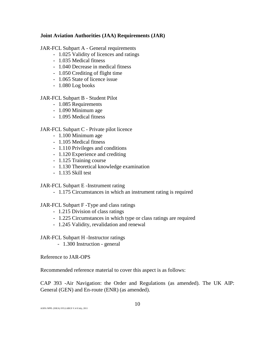## **Joint Aviation Authorities (JAA) Requirements (JAR)**

JAR-FCL Subpart A - General requirements

- 1.025 Validity of licences and ratings
- 1.035 Medical fitness
- 1.040 Decrease in medical fitness
- 1.050 Crediting of flight time
- 1.065 State of licence issue
- 1.080 Log books

JAR-FCL Subpart B - Student Pilot

- 1.085 Requirements
- 1.090 Minimum age
- 1.095 Medical fitness

## JAR-FCL Subpart C - Private pilot licence

- 1.100 Minimum age
- 1.105 Medical fitness
- 1.110 Privileges and conditions
- 1.120 Experience and crediting
- 1.125 Training course
- 1.130 Theoretical knowledge examination
- 1.135 Skill test

JAR-FCL Subpart E -Instrument rating

- 1.175 Circumstances in which an instrument rating is required

## JAR-FCL Subpart F -Type and class ratings

- 1.215 Division of class ratings
- 1.225 Circumstances in which type or class ratings are required
- 1.245 Validity, revalidation and renewal

JAR-FCL Subpart H -Instructor ratings

- 1.300 Instruction - general

Reference to JAR-OPS

Recommended reference material to cover this aspect is as follows:

CAP 393 -Air Navigation: the Order and Regulations (as amended). The UK AIP: General (GEN) and En-route (ENR) (as amended).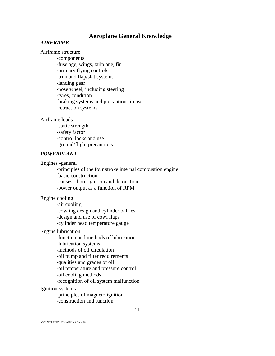## **Aeroplane General Knowledge**

## *AIRFRAME*

## Airframe structure

-components -fuselage, wings, tailplane, fin -primary flying controls -trim and flap/slat systems -landing gear -nose wheel, including steering -tyres, condition -braking systems and precautions in use -retraction systems

#### Airframe loads

-static strength -safety factor -control locks and use -ground/flight precautions

## *POWERPLANT*

Engines -general

-principles of the four stroke internal combustion engine -basic construction -causes of pre-ignition and detonation -power output as a function of RPM

Engine cooling

-air cooling -cowling design and cylinder baffles -design and use of cowl flaps -cylinder head temperature gauge

#### Engine lubrication

-function and methods of lubrication

-lubrication systems

-methods of oil circulation

-oil pump and filter requirements

-qualities and grades of oil

-oil temperature and pressure control

-oil cooling methods

-recognition of oil system malfunction

#### Ignition systems

-principles of magneto ignition -construction and function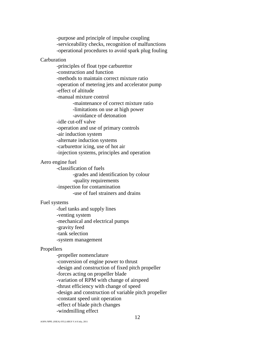-purpose and principle of impulse coupling -serviceability checks, recognition of malfunctions -operational procedures to avoid spark plug fouling

### Carburation

-principles of float type carburettor -construction and function -methods to maintain correct mixture ratio -operation of metering jets and accelerator pump -effect of altitude -manual mixture control -maintenance of correct mixture ratio -limitations on use at high power -avoidance of detonation -idle cut-off valve -operation and use of primary controls -air induction system -alternate induction systems -carburettor icing, use of hot air -injection systems, principles and operation

## Aero engine fuel

-classification of fuels -grades and identification by colour -quality requirements -inspection for contamination -use of fuel strainers and drains

## Fuel systems

-fuel tanks and supply lines -venting system -mechanical and electrical pumps -gravity feed -tank selection -system management

#### Propellers

-propeller nomenclature -conversion of engine power to thrust -design and construction of fixed pitch propeller -forces acting on propeller blade -variation of RPM with change of airspeed -thrust efficiency with change of speed -design and construction of variable pitch propeller -constant speed unit operation -effect of blade pitch changes -windmilling effect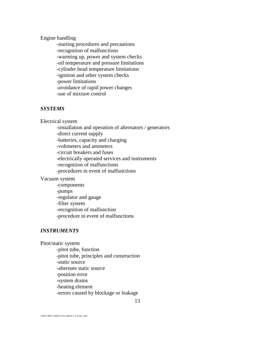## Engine handling

-starting procedures and precautions -recognition of malfunctions -warming up, power and system checks -oil temperature and pressure limitations -cylinder head temperature limitations -ignition and other system checks -power limitations -avoidance of rapid power changes -use of mixture control

## *SYSTEMS*

Electrical system

-installation and operation of alternators / generators -direct current supply -batteries, capacity and charging -voltmeters and ammeters -circuit breakers and fuses -electrically operated services and instruments -recognition of malfunctions -procedures in event of malfunctions

#### Vacuum system

-components -pumps -regulator and gauge -filter system -recognition of malfunction -procedure in event of malfunctions

## *INSTRUMENTS*

Pitot/static system

-pitot tube, function -pitot tube, principles and construction -static source -alternate static source -position error -system drains -heating element -errors caused by blockage or leakage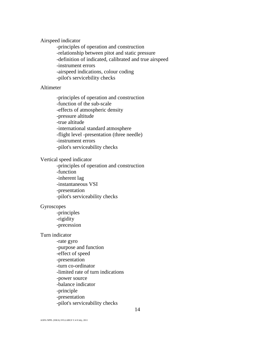Airspeed indicator

-principles of operation and construction -relationship between pitot and static pressure -definition of indicated, calibrated and true airspeed -instrument errors -airspeed indications, colour coding -pilot's servicebility checks

## Altimeter

-principles of operation and construction -function of the sub-scale -effects of atmospheric density -pressure altitude -true altitude -international standard atmosphere -flight level -presentation (three needle) -instrument errors -pilot's serviceability checks

#### Vertical speed indicator

-principles of operation and construction -function -inherent lag -instantaneous VSI -presentation -pilot's serviceability checks

## Gyroscopes

-principles -rigidity -precession

## Turn indicator

-rate gyro -purpose and function -effect of speed -presentation -turn co-ordinator -limited rate of turn indications -power source -balance indicator -principle -presentation -pilot's serviceability checks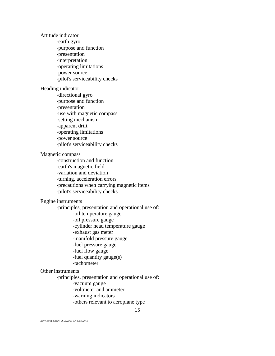Attitude indicator -earth gyro -purpose and function -presentation -interpretation -operating limitations -power source -pilot's serviceability checks Heading indicator -directional gyro -purpose and function -presentation -use with magnetic compass -setting mechanism -apparent drift -operating limitations -power source -pilot's serviceability checks Magnetic compass -construction and function -earth's magnetic field -variation and deviation -turning, acceleration errors -precautions when carrying magnetic items -pilot's serviceability checks Engine instruments -principles, presentation and operational use of: -oil temperature gauge -oil pressure gauge -cylinder head temperature gauge -exhaust gas meter -manifold pressure gauge -fuel pressure gauge -fuel flow gauge -fuel quantity gauge(s) -tachometer Other instruments -principles, presentation and operational use of: -vacuum gauge -voltmeter and ammeter -warning indicators

-others relevant to aeroplane type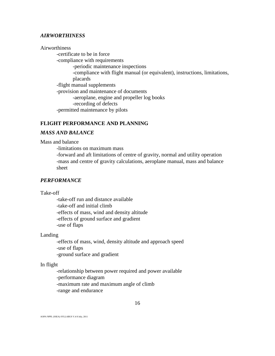### *AIRWORTHINESS*

Airworthiness

-certificate to be in force -compliance with requirements -periodic maintenance inspections -compliance with flight manual (or equivalent), instructions, limitations, placards -flight manual supplements -provision and maintenance of documents -aeroplane, engine and propeller log books -recording of defects -permitted maintenance by pilots

## **FLIGHT PERFORMANCE AND PLANNING**

#### *MASS AND BALANCE*

Mass and balance

-limitations on maximum mass

-forward and aft limitations of centre of gravity, normal and utility operation -mass and centre of gravity calculations, aeroplane manual, mass and balance sheet

### *PERFORMANCE*

Take-off

-take-off run and distance available -take-off and initial climb -effects of mass, wind and density altitude -effects of ground surface and gradient -use of flaps

Landing

-effects of mass, wind, density altitude and approach speed -use of flaps -ground surface and gradient

### In flight

-relationship between power required and power available -performance diagram -maximum rate and maximum angle of climb

-range and endurance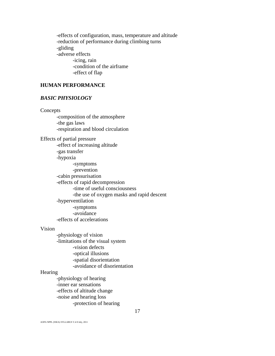-effects of configuration, mass, temperature and altitude -reduction of performance during climbing turns -gliding -adverse effects -icing, rain -condition of the airframe -effect of flap

## **HUMAN PERFORMANCE**

## *BASIC PHYSIOLOGY*

Concepts -composition of the atmosphere -the gas laws -respiration and blood circulation Effects of partial pressure -effect of increasing altitude -gas transfer -hypoxia -symptoms -prevention -cabin pressurisation -effects of rapid decompression -time of useful consciousness -the use of oxygen masks and rapid descent -hyperventilation -symptoms -avoidance -effects of accelerations

## Vision

-physiology of vision -limitations of the visual system -vision defects -optical illusions -spatial disorientation -avoidance of disorientation

#### **Hearing**

-physiology of hearing -inner ear sensations -effects of altitude change -noise and hearing loss -protection of hearing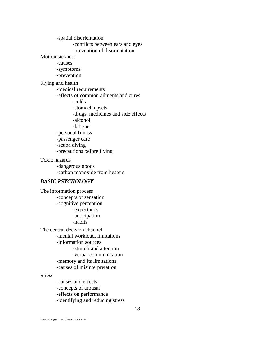-spatial disorientation -conflicts between ears and eyes -prevention of disorientation Motion sickness -causes -symptoms -prevention Flying and health -medical requirements -effects of common ailments and cures -colds -stomach upsets -drugs, medicines and side effects -alcohol -fatigue -personal fitness -passenger care -scuba diving -precautions before flying Toxic hazards

-dangerous goods -carbon monoxide from heaters

### *BASIC PSYCHOLOGY*

The information process -concepts of sensation -cognitive perception -expectancy -anticipation -habits The central decision channel -mental workload, limitations -information sources -stimuli and attention -verbal communication -memory and its limitations -causes of misinterpretation

#### **Stress**

-causes and effects -concepts of arousal -effects on performance -identifying and reducing stress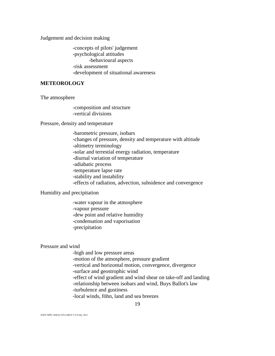Judgement and decision making

-concepts of pilots' judgement -psychological attitudes -behavioural aspects -risk assessment -development of situational awareness

## **METEOROLOGY**

The atmosphere

-composition and structure -vertical divisions

Pressure, density and temperature

-barometric pressure, isobars -changes of pressure, density and temperature with altitude -altimetry terminology -solar and terrestial energy radiation, temperature -diurnal variation of temperature -adiabatic process -temperature lapse rate -stability and instability -effects of radiation, advection, subsidence and convergence

Humidity and precipitation

-water vapour in the atmosphere -vapour pressure -dew point and relative humidity -condensation and vaporisation -precipitation

Pressure and wind

-high and low pressure areas

-motion of the atmosphere, pressure gradient

-vertical and horizontal motion, convergence, divergence

-surface and geostrophic wind

-effect of wind gradient and wind shear on take-off and landing

-relationship between isobars and wind, Buys Ballot's law

-turbulence and gustiness

-local winds, föhn, land and sea breezes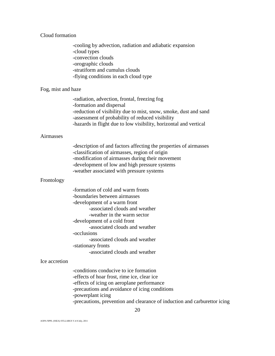Cloud formation

-cooling by advection, radiation and adiabatic expansion -cloud types -convection clouds -orographic clouds -stratiform and cumulus clouds -flying conditions in each cloud type

#### Fog, mist and haze

-radiation, advection, frontal, freezing fog -formation and dispersal -reduction of visibility due to mist, snow, smoke, dust and sand -assessment of probability of reduced visibility -hazards in flight due to low visibility, horizontal and vertical

## Airmasses

-description of and factors affecting the properties of airmasses -classification of airmasses, region of origin -modification of airmasses during their movement -development of low and high pressure systems -weather associated with pressure systems

#### Frontology

| -formation of cold and warm fronts |
|------------------------------------|
| -boundaries between airmasses      |
| -development of a warm front       |
| -associated clouds and weather     |
| -weather in the warm sector        |
| -development of a cold front       |
| -associated clouds and weather     |
| -occlusions                        |
| -associated clouds and weather     |
| -stationary fronts                 |
| -associated clouds and weather     |

#### Ice accretion

-conditions conducive to ice formation -effects of hoar frost, rime ice, clear ice -effects of icing on aeroplane performance -precautions and avoidance of icing conditions -powerplant icing -precautions, prevention and clearance of induction and carburettor icing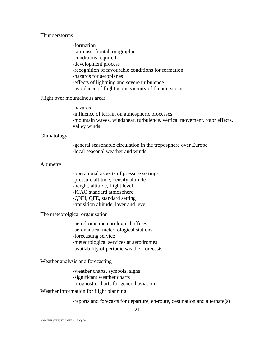## Thunderstorms

-formation - airmass, frontal, orographic -conditions required -development process -recognition of favourable conditions for formation -hazards for aeroplanes -effects of lightning and severe turbulence -avoidance of flight in the vicinity of thunderstorms

#### Flight over mountainous areas

-hazards -influence of terrain on atmospheric processes -mountain waves, windshear, turbulence, vertical movement, rotor effects, valley winds

#### Climatology

-general seasonable circulation in the troposphere over Europe -local seasonal weather and winds

## Altimetry

-operational aspects of pressure settings -pressure altitude, density altitude -height, altitude, flight level -ICAO standard atmosphere -QNH, QFE, standard setting -transition altitude, layer and level

The meteorolgical organisation

-aerodrome meteorological offices -aeronautical meteorological stations -forecasting service -meteorological services at aerodromes -availability of periodic weather forecasts

Weather analysis and forecasting

-weather charts, symbols, signs -significant weather charts -prognostic charts for general aviation

#### Weather information for flight planning

-reports and forecasts for departure, en-route, destination and alternate(s)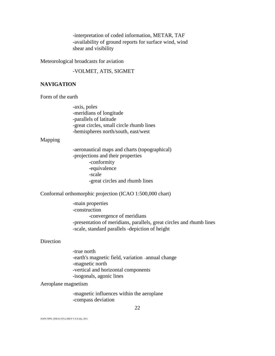-interpretation of coded information, METAR, TAF -availability of ground reports for surface wind, wind shear and visibility

Meteorological broadcasts for aviation

-VOLMET, ATIS, SIGMET

## **NAVIGATION**

Form of the earth

-axis, poles -meridians of longitude -parallels of latitude -great circles, small circle rhumb lines -hemispheres north/south, east/west

#### Mapping

-aeronautical maps and charts (topographical) -projections and their properties -conformity -equivalence -scale -great circles and rhumb lines

Conformal orthomorphic projection (ICAO 1:500,000 chart)

-main properties -construction -convergence of meridians -presentation of meridians, parallels, great circles and rhumb lines -scale, standard parallels -depiction of height

#### **Direction**

-true north -earth's magnetic field, variation - annual change -magnetic north -vertical and horizontal components -isogonals, agonic lines

#### Aeroplane magnetism

-magnetic influences within the aeroplane -compass deviation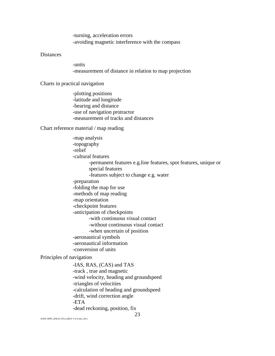-turning, acceleration errors -avoiding magnetic interference with the compass

## **Distances**

-units -measurement of distance in relation to map projection

Charts in practical navigation

-plotting positions -latitude and longitude -bearing and distance -use of navigation protractor -measurement of tracks and distances

Chart reference material / map reading

|                          | -map analysis                                                   |
|--------------------------|-----------------------------------------------------------------|
|                          | -topography                                                     |
| -relief                  |                                                                 |
|                          | -cultural features                                              |
|                          | -permanent features e.g.line features, spot features, unique or |
|                          | special features                                                |
|                          | -features subject to change e.g. water                          |
|                          | -preparation                                                    |
|                          | -folding the map for use                                        |
|                          | -methods of map reading                                         |
|                          | -map orientation                                                |
|                          | -checkpoint features                                            |
|                          | -anticipation of checkpoints                                    |
|                          | -with continuous visual contact                                 |
|                          | -without continuous visual contact                              |
|                          | -when uncertain of position                                     |
|                          | -aeronautical symbols                                           |
|                          | -aeronautical information                                       |
|                          | -conversion of units                                            |
| Principles of navigation |                                                                 |
|                          | -IAS, RAS, (CAS) and TAS                                        |
|                          | -track, true and magnetic                                       |
|                          | -wind velocity, heading and groundspeed                         |
|                          | -triangles of velocities                                        |
|                          | -calculation of heading and groundspeed                         |
|                          | -drift, wind correction angle                                   |
| -ETA                     |                                                                 |
|                          | -dead reckoning, position, fix                                  |
|                          | 23                                                              |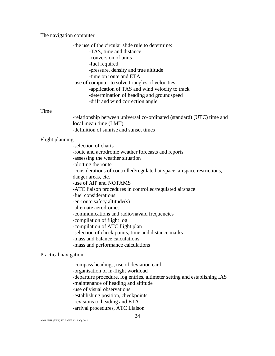#### The navigation computer

-the use of the circular slide rule to determine: -TAS, time and distance -conversion of units -fuel required -pressure, density and true altitude -time on route and ETA -use of computer to solve triangles of velocities -application of TAS and wind velocity to track -determination of heading and groundspeed -drift and wind correction angle

## Time

-relationship between universal co-ordinated (standard) (UTC) time and local mean time (LMT) -definition of sunrise and sunset times

#### Flight planning

-selection of charts -route and aerodrome weather forecasts and reports -assessing the weather situation -plotting the route -considerations of controlled/regulated airspace, airspace restrictions, danger areas, etc. -use of AIP and NOTAMS -ATC liaison procedures in controlled/regulated airspace -fuel considerations -en-route safety altitude(s) -alternate aerodromes -communications and radio/navaid frequencies -compilation of flight log -compilation of ATC flight plan -selection of check points, time and distance marks -mass and balance calculations -mass and performance calculations

#### Practical navigation

-compass headings, use of deviation card -organisation of in-flight workload -departure procedure, log entries, altimeter setting and establishing IAS -maintenance of heading and altitude -use of visual observations -establishing position, checkpoints -revisions to heading and ETA -arrival procedures, ATC Liaison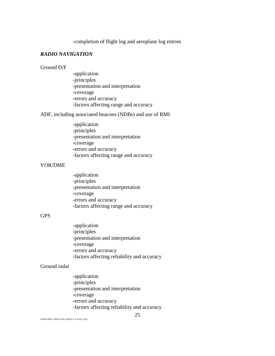-completion of flight log and aeroplane log entries

## *RADIO NAVIGATION*

## Ground D/F

-application -principles -presentation and interpretation -coverage -errors and accuracy -factors affecting range and accuracy

ADF, including associated beacons (NDBs) and use of RMI

-application -principles -presentation and interpretation -coverage -errors and accuracy -factors affecting range and accuracy

#### VOR/DME

-application -principles -presentation and interpretation -coverage -errors and accuracy -factors affecting range and accuracy

## GPS

-application -principles -presentation and interpretation -coverage -errors and accuracy -factors affecting reliability and accuracy

#### Ground radar

-application -principles -presentation and interpretation -coverage -errors and accuracy -factors affecting reliability and accuracy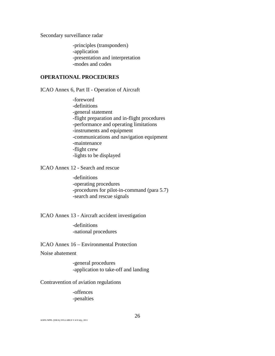Secondary surveillance radar

-principles (transponders) -application -presentation and interpretation -modes and codes

## **OPERATIONAL PROCEDURES**

ICAO Annex 6, Part II - Operation of Aircraft

-foreword -definitions -general statement -flight preparation and in-flight procedures -performance and operating limitations -instruments and equipment -communications and navigation equipment -maintenance -flight crew -lights to be displayed

ICAO Annex 12 - Search and rescue

-definitions -operating procedures -procedures for pilot-in-command (para 5.7) -search and rescue signals

ICAO Annex 13 - Aircraft accident investigation

-definitions -national procedures

ICAO Annex 16 – Environmental Protection

Noise abatement

-general procedures -application to take-off and landing

#### Contravention of aviation regulations

-offences -penalties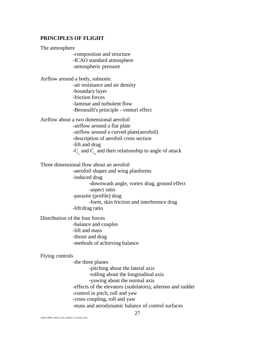### **PRINCIPLES OF FLIGHT**

The atmosphere

-composition and structure -ICAO standard atmosphere -atmospheric pressure

Airflow around a body, subsonic -air resistance and air density -boundary layer -friction forces -laminar and turbulent flow -Bernoulli's principle - venturi effect

Airflow about a two dimensional aerofoil -airflow around a flat plate -airflow around a curved plate(aerofoil) -description of aerofoil cross section -lift and drag  $-C_{\text{A}}$  and  $C_{\text{B}}$  and their relationship to angle of attack

Three dimensional flow about an aerofoil

-aerofoil shapes and wing planforms -induced drag -downwash angle, vortex drag, ground effect -aspect ratio -parasite (profile) drag -form, skin friction and interference drag -lift/drag ratio

Distribution of the four forces -balance and couples -lift and mass -thrust and drag -methods of achieving balance

#### Flying controls

-the three planes -pitching about the lateral axis -rolling about the longitudinal axis -yawing about the normal axis -effects of the elevators (stabilators), ailerons and rudder -control in pitch, roll and yaw -cross coupling, roll and yaw -mass and aerodynamic balance of control surfaces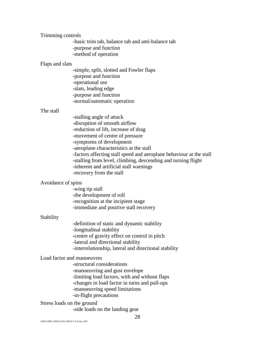Trimming controls

-basic trim tab, balance tab and anti-balance tab -purpose and function -method of operation

#### Flaps and slats

-simple, split, slotted and Fowler flaps -purpose and function -operational use -slats, leading edge -purpose and function -normal/automatic operation

#### The stall

-stalling angle of attack -disruption of smooth airflow -reduction of lift, increase of drag -movement of centre of pressure -symptoms of development -aeroplane characteristics at the stall -factors affecting stall speed and aeroplane behaviour at the stall -stalling from level, climbing, descending and turning flight -inherent and artificial stall warnings -recovery from the stall

#### Avoidance of spins

-wing tip stall -the development of roll -recognition at the incipient stage -immediate and positive stall recovery

#### Stability

-definition of static and dynamic stability -longitudinal stability -centre of gravity effect on control in pitch -lateral and directional stability -interrelationship, lateral and directional stability

### Load factor and manoeuvres

-structural considerations -manoeuvring and gust envelope -limiting load factors, with and without flaps -changes in load factor in turns and pull-ups -manoeuvring speed limitations -in-flight precautions

Stress loads on the ground

-side loads on the landing gear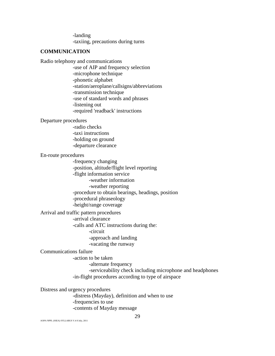-landing -taxiing, precautions during turns

## **COMMUNICATION**

Radio telephony and communications -use of AIP and frequency selection -microphone technique -phonetic alphabet -station/aeroplane/callsigns/abbreviations -transmission technique -use of standard words and phrases -listening out -required 'readback' instructions

## Departure procedures

-radio checks -taxi instructions -holding on ground -departure clearance

#### En-route procedures

-frequency changing -position, altitude/flight level reporting -flight information service -weather information -weather reporting -procedure to obtain bearings, headings, position -procedural phraseology

-height/range coverage

Arrival and traffic pattern procedures

-arrival clearance

-calls and ATC instructions during the:

-circuit

-approach and landing

-vacating the runway

#### Communications failure

-action to be taken

-alternate frequency

-serviceability check including microphone and headphones -in-flight procedures according to type of airspace

Distress and urgency procedures

-distress (Mayday), definition and when to use -frequencies to use -contents of Mayday message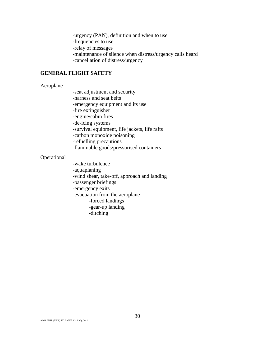-urgency (PAN), definition and when to use -frequencies to use -relay of messages -maintenance of silence when distress/urgency calls heard -cancellation of distress/urgency

## **GENERAL FLIGHT SAFETY**

#### Aeroplane

-seat adjustment and security -harness and seat belts -emergency equipment and its use -fire extinguisher -engine/cabin fires -de-icing systems -survival equipment, life jackets, life rafts -carbon monoxide poisoning -refuelling precautions -flammable goods/pressurised containers

## Operational

-wake turbulence -aquaplaning -wind shear, take-off, approach and landing -passenger briefings -emergency exits -evacuation from the aeroplane -forced landings -gear-up landing -ditching

\_\_\_\_\_\_\_\_\_\_\_\_\_\_\_\_\_\_\_\_\_\_\_\_\_\_\_\_\_\_\_\_\_\_\_\_\_\_\_\_\_\_\_\_\_\_\_\_\_\_\_\_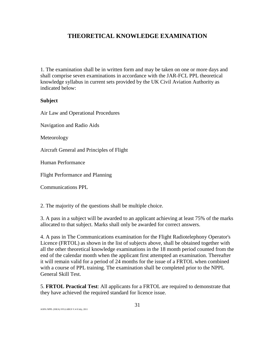## **THEORETICAL KNOWLEDGE EXAMINATION**

1. The examination shall be in written form and may be taken on one or more days and shall comprise seven examinations in accordance with the JAR-FCL PPL theoretical knowledge syllabus in current sets provided by the UK Civil Aviation Authority as indicated below:

## **Subject**

Air Law and Operational Procedures

Navigation and Radio Aids

Meteorology

Aircraft General and Principles of Flight

Human Performance

Flight Performance and Planning

Communications PPL

2. The majority of the questions shall be multiple choice.

3. A pass in a subject will be awarded to an applicant achieving at least 75% of the marks allocated to that subject. Marks shall only be awarded for correct answers.

4. A pass in The Communications examination for the Flight Radiotelephony Operator's Licence (FRTOL) as shown in the list of subjects above, shall be obtained together with all the other theoretical knowledge examinations in the 18 month period counted from the end of the calendar month when the applicant first attempted an examination. Thereafter it will remain valid for a period of 24 months for the issue of a FRTOL when combined with a course of PPL training. The examination shall be completed prior to the NPPL General Skill Test.

5. **FRTOL Practical Test**: All applicants for a FRTOL are required to demonstrate that they have achieved the required standard for licence issue.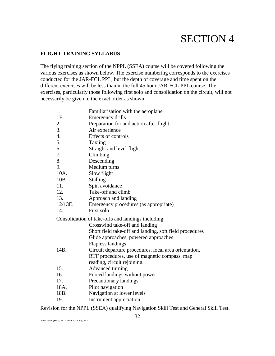# SECTION 4

## **FLIGHT TRAINING SYLLABUS**

The flying training section of the NPPL (SSEA) course will be covered following the various exercises as shown below. The exercise numbering corresponds to the exercises conducted for the JAR-FCL PPL, but the depth of coverage and time spent on the different exercises will be less than in the full 45 hour JAR-FCL PPL course. The exercises, particularly those following first solo and consolidation on the circuit, will not necessarily be given in the exact order as shown.

| 1.            | Familiarisation with the aeroplane                      |
|---------------|---------------------------------------------------------|
| 1E.           | Emergency drills                                        |
|               | Preparation for and action after flight                 |
| $rac{2}{3}$ . | Air experience                                          |
| 4.            | Effects of controls                                     |
| 5.            | Taxiing                                                 |
| 6.            | Straight and level flight                               |
| 7.            | Climbing                                                |
| 8.            | Descending                                              |
| 9.            | Medium turns                                            |
| 10A.          | Slow flight                                             |
| 10B.          | <b>Stalling</b>                                         |
| 11.           | Spin avoidance                                          |
| 12.           | Take-off and climb                                      |
| 13.           | Approach and landing                                    |
| 12/13E.       | Emergency procedures (as appropriate)                   |
| 14.           | First solo                                              |
|               | Consolidation of take-offs and landings including:      |
|               | Crosswind take-off and landing                          |
|               | Short field take-off and landing, soft field procedures |
|               | Glide approaches, powered approaches                    |
|               | <b>Flapless landings</b>                                |
| 14B.          | Circuit departure procedures, local area orientation,   |
|               | RTF procedures, use of magnetic compass, map            |
|               | reading, circuit rejoining.                             |
| 15.           | Advanced turning                                        |
| 16            | Forced landings without power                           |
| 17.           | Precautionary landings                                  |
| 18A.          | Pilot navigation                                        |
| 18B.          | Navigation at lower levels                              |
| 19.           | Instrument appreciation                                 |

Revision for the NPPL (SSEA) qualifying Navigation Skill Test and General Skill Test.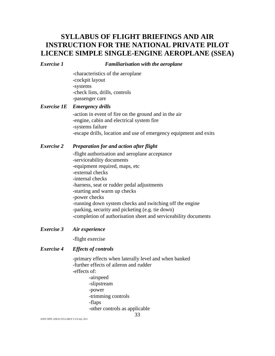## **SYLLABUS OF FLIGHT BRIEFINGS AND AIR INSTRUCTION FOR THE NATIONAL PRIVATE PILOT LICENCE SIMPLE SINGLE-ENGINE AEROPLANE (SSEA)**

#### *Exercise 1 Familiarisation with the aeroplane*

-characteristics of the aeroplane -cockpit layout -systems -check lists, drills, controls -passenger care

## *Exercise 1E Emergency drills*

-action in event of fire on the ground and in the air -engine, cabin and electrical system fire -systems failure -escape drills, location and use of emergency equipment and exits

## *Exercise 2 Preparation for and action after flight*

-flight authorisation and aeroplane acceptance -serviceability documents -equipment required, maps, etc -external checks -internal checks -harness, seat or rudder pedal adjustments -starting and warm up checks -power checks -running down system checks and switching off the engine -parking, security and picketing (e.g. tie down) -completion of authorisation sheet and serviceability documents

## *Exercise 3 Air experience*

-flight exercise

## *Exercise 4 Effects of controls*

-primary effects when laterally level and when banked -further effects of aileron and rudder -effects of:

-airspeed -slipstream -power -trimming controls -flaps -other controls as applicable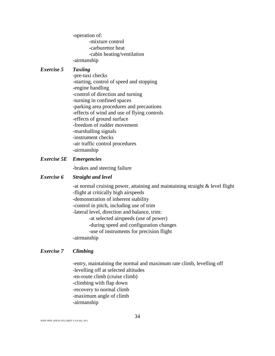-operation of:

-mixture control -carburettor heat -cabin heating/ventilation -airmanship

## *Exercise 5 Taxiing*

-pre-taxi checks -starting, control of speed and stopping -engine handling -control of direction and turning -turning in confined spaces -parking area procedures and precautions -effects of wind and use of flying controls -effects of ground surface -freedom of rudder movement -marshalling signals -instrument checks -air traffic control procedures -airmanship

## *Exercise 5E Emergencies*

-brakes and steering failure

## *Exercise 6 Straight and level*

-at normal cruising power, attaining and maintaining straight & level flight -flight at critically high airspeeds -demonstration of inherent stability -control in pitch, including use of trim -lateral level, direction and balance, trim: -at selected airspeeds (use of power) -during speed and configuration changes -use of instruments for precision flight -airmanship

## *Exercise 7 Climbing*

-entry, maintaining the normal and maximum rate climb, levelling off -levelling off at selected altitudes

- -en-route climb (cruise climb)
- -climbing with flap down
- -recovery to normal climb
- -maximum angle of climb
- -airmanship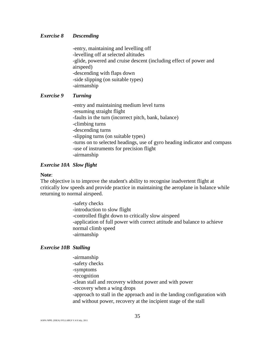#### *Exercise 8 Descending*

-entry, maintaining and levelling off -levelling off at selected altitudes -glide, powered and cruise descent (including effect of power and airspeed) -descending with flaps down -side slipping (on suitable types) -airmanship

## *Exercise 9 Turning*

-entry and maintaining medium level turns -resuming straight flight -faults in the turn (incorrect pitch, bank, balance) -climbing turns -descending turns -slipping turns (on suitable types) -turns on to selected headings, use of gyro heading indicator and compass -use of instruments for precision flight -airmanship

#### *Exercise 10A Slow flight*

#### **Note**:

The objective is to improve the student's ability to recognise inadvertent flight at critically low speeds and provide practice in maintaining the aeroplane in balance while returning to normal airspeed.

> -safety checks -introduction to slow flight -controlled flight down to critically slow airspeed -application of full power with correct attitude and balance to achieve normal climb speed -airmanship

## *Exercise 10B Stalling*

-airmanship -safety checks -symptoms -recognition -clean stall and recovery without power and with power -recovery when a wing drops -approach to stall in the approach and in the landing configuration with and without power, recovery at the incipient stage of the stall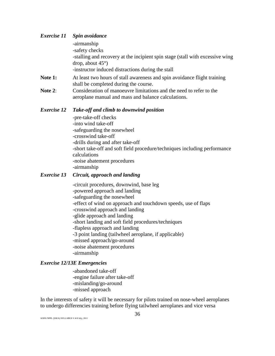## *Exercise 11 Spin avoidance*  -airmanship -safety checks -stalling and recovery at the incipient spin stage (stall with excessive wing drop, about 45°) -instructor induced distractions during the stall **Note 1:** At least two hours of stall awareness and spin avoidance flight training shall be completed during the course.

**Note 2:** Consideration of manoeuvre limitations and the need to refer to the aeroplane manual and mass and balance calculations.

## *Exercise 12 Take-off and climb to downwind position*

-pre-take-off checks -into wind take-off -safeguarding the nosewheel -crosswind take-off -drills during and after take-off -short take-off and soft field procedure/techniques including performance calculations -noise abatement procedures -airmanship

## *Exercise 13 Circuit, approach and landing*

-circuit procedures, downwind, base leg -powered approach and landing -safeguarding the nosewheel -effect of wind on approach and touchdown speeds, use of flaps -crosswind approach and landing -glide approach and landing -short landing and soft field procedures/techniques -flapless approach and landing -3 point landing (tailwheel aeroplane, if applicable) -missed approach/go-around -noise abatement procedures -airmanship

## *Exercise 12/13E Emergencies*

-abandoned take-off -engine failure after take-off -mislanding/go-around -missed approach

In the interests of safety it will be necessary for pilots trained on nose-wheel aeroplanes to undergo differencies training before flying tailwheel aeroplanes and vice versa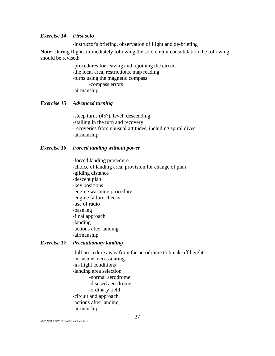#### *Exercise 14 First solo*

-instructor's briefing, observation of flight and de-briefing

**Note:** During flights immediately following the solo circuit consolidation the following should be revised:

> -procedures for leaving and rejoining the circuit -the local area, restrictions, map reading -turns using the magnetic compass -compass errors -airmanship

## *Exercise 15 Advanced turning*

-steep turns (45°), level, descending -stalling in the turn and recovery -recoveries from unusual attitudes, including spiral dives -airmanship

#### *Exercise 16 Forced landing without power*

-forced landing procedure -choice of landing area, provision for change of plan -gliding distance -descent plan -key positions -engine warming procedure -engine failure checks -use of radio -base leg -final approach -landing -actions after landing -airmanship

## *Exercise 17 Precautionary landing*

-full procedure away from the aerodrome to break-off height -occasions necessitating -in-flight conditions -landing area selection -normal aerodrome -disused aerodrome -ordinary field -circuit and approach -actions after landing -airmanship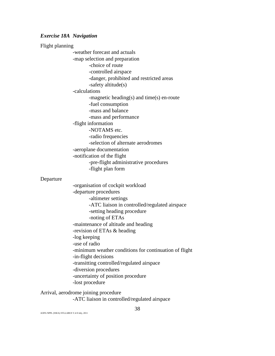#### *Exercise 18A Navigation*

Flight planning -weather forecast and actuals -map selection and preparation -choice of route -controlled airspace -danger, prohibited and restricted areas -safety altitude(s) -calculations -magnetic heading(s) and time(s) en-route -fuel consumption -mass and balance -mass and performance -flight information -NOTAMS etc. -radio frequencies -selection of alternate aerodromes -aeroplane documentation -notification of the flight -pre-flight administrative procedures -flight plan form Departure -organisation of cockpit workload -departure procedures -altimeter settings -ATC liaison in controlled/regulated airspace -setting heading procedure -noting of ETAs -maintenance of altitude and heading -revision of ETAs & heading -log keeping -use of radio -minimum weather conditions for continuation of flight -in-flight decisions

-transitting controlled/regulated airspace

-diversion procedures

-uncertainty of position procedure

-lost procedure

## Arrival, aerodrome joining procedure

-ATC liaison in controlled/regulated airspace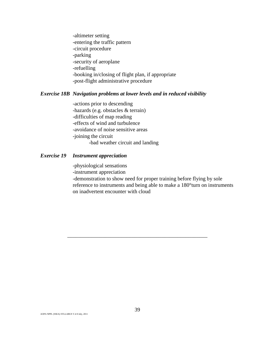-altimeter setting -entering the traffic pattern -circuit procedure -parking -security of aeroplane -refuelling -booking in/closing of flight plan, if appropriate -post-flight administrative procedure

## *Exercise 18B Navigation problems at lower levels and in reduced visibility*

-actions prior to descending -hazards (e.g. obstacles & terrain) -difficulties of map reading -effects of wind and turbulence -avoidance of noise sensitive areas -joining the circuit -bad weather circuit and landing

## *Exercise 19 Instrument appreciation*

-physiological sensations -instrument appreciation -demonstration to show need for proper training before flying by sole reference to instruments and being able to make a 180°turn on instruments on inadvertent encounter with cloud

\_\_\_\_\_\_\_\_\_\_\_\_\_\_\_\_\_\_\_\_\_\_\_\_\_\_\_\_\_\_\_\_\_\_\_\_\_\_\_\_\_\_\_\_\_\_\_\_\_\_\_\_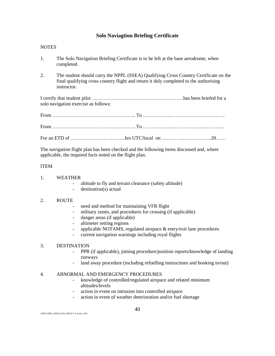## **Solo Naviagtion Briefing Certificate**

#### **NOTES**

- 1. The Solo Navigation Briefing Certificate is to be left at the base aerodrome, when completed.
- 2. The student should carry the NPPL (SSEA) Qualifying Cross Country Certificate on the final qualifying cross country flight and return it duly completed to the authorising instructor.

I certify that student pilot ………………………………..………………has been briefed for a solo navigation exercise as follows:

The navigation flight plan has been checked and the following items discussed and, where applicable, the required facts noted on the flight plan.

#### ITEM

- 1. WEATHER
	- altitude to fly and terrain clearance (safety altitude)
	- $d$  destination(s) actual

#### 2. ROUTE

- need and method for maintaining VFR flight
- military zones, and procedures for crossing (if applicable)
- danger areas (if applicable)
- altimeter setting regions
- applicable NOTAMS, regulated airspace & entry/exit lane procedures
- current navigation warnings including royal flights

#### 3. DESTINATION

- PPR (if applicable), joining procedure/position reports/knowledge of landing runways
- land away procedure (including refuelling instructions and booking in/out)

#### 4. ABNORMAL AND EMERGENCY PROCEDURES

- knowledge of controlled/regulated airspace and related minimum altitudes/levels
- action in event on intrusion into controlled airspace
- action in event of weather deterioration and/or fuel shortage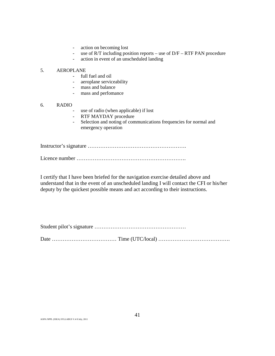- action on becoming lost
- use of R/T including position reports use of D/F RTF PAN procedure
- action in event of an unscheduled landing

#### 5. AEROPLANE

- full fuel and oil
- aeroplane serviceability
- mass and balance
- mass and perfomance

#### 6. RADIO

- use of radio (when applicable) if lost
- RTF MAYDAY procedure
- Selection and noting of communications frequencies for normal and emergency operation

Instructor's signature ……………………………………………….

Licence number …………………………………………………….

I certify that I have been briefed for the navigation exercise detailed above and understand that in the event of an unscheduled landing I will contact the CFI or his/her deputy by the quickest possible means and act according to their instructions.

Student pilot's signature ……………………………………………

Date ……………………………… Time (UTC/local) ………………………………….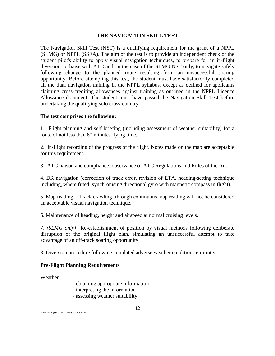## **THE NAVIGATION SKILL TEST**

The Navigation Skill Test (NST) is a qualifying requirement for the grant of a NPPL (SLMG) or NPPL (SSEA). The aim of the test is to provide an independent check of the student pilot's ability to apply visual navigation techniques, to prepare for an in-flight diversion, to liaise with ATC and, in the case of the SLMG NST only, to navigate safely following change to the planned route resulting from an unsuccessful soaring opportunity. Before attempting this test, the student must have satisfactorily completed all the dual navigation training in the NPPL syllabus, except as defined for applicants claiming cross-crediting allowances against training as outlined in the NPPL Licence Allowance document. The student must have passed the Navigation Skill Test before undertaking the qualifying solo cross-country.

## **The test comprises the following:**

1. Flight planning and self briefing (including assessment of weather suitability) for a route of not less than 60 minutes flying time.

2. In-flight recording of the progress of the flight. Notes made on the map are acceptable for this requirement.

3. ATC liaison and compliance; observance of ATC Regulations and Rules of the Air.

4. DR navigation (correction of track error, revision of ETA, heading-setting technique including, where fitted, synchronising directional gyro with magnetic compass in flight).

5. Map reading. 'Track crawling' through continuous map reading will not be considered an acceptable visual navigation technique.

6. Maintenance of heading, height and airspeed at normal cruising levels.

7. *(SLMG only)* Re-establishment of position by visual methods following deliberate disruption of the original flight plan, simulating an unsuccessful attempt to take advantage of an off-track soaring opportunity.

8. Diversion procedure following simulated adverse weather conditions en-route.

### **Pre-Flight Planning Requirements**

Weather

- obtaining appropriate information
- interpreting the information
- assessing weather suitability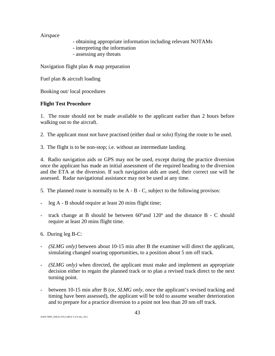Airspace

- obtaining appropriate information including relevant NOTAMs
- interpreting the information
- assessing any threats

Navigation flight plan & map preparation

Fuel plan & aircraft loading

Booking out/ local procedures

## **Flight Test Procedure**

1. The route should not be made available to the applicant earlier than 2 hours before walking out to the aircraft.

2. The applicant must not have practised (either dual or solo) flying the route to be used.

3. The flight is to be non-stop; i.e. without an intermediate landing.

4. Radio navigation aids or GPS may not be used, except during the practice diversion once the applicant has made an initial assessment of the required heading to the diversion and the ETA at the diversion. If such navigation aids are used, their correct use will be assessed. Radar navigational assistance may not be used at any time.

- 5. The planned route is normally to be A B C, subject to the following provisos:
- leg A B should require at least 20 mins flight time;
- track change at B should be between 60°and 120º and the distance B C should require at least 20 mins flight time.
- 6. During leg B-C:
- *(SLMG only)* between about 10-15 min after B the examiner will direct the applicant, simulating changed soaring opportunities, to a position about 5 nm off track.
- *(SLMG only)* when directed, the applicant must make and implement an appropriate decision either to regain the planned track or to plan a revised track direct to the next turning point.
- between 10-15 min after B (or, *SLMG only*, once the applicant's revised tracking and timing have been assessed), the applicant will be told to assume weather deterioration and to prepare for a practice diversion to a point not less than 20 nm off track.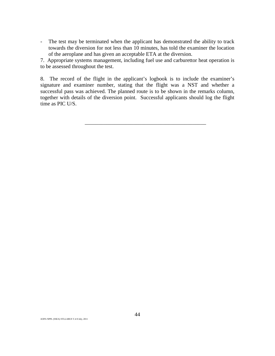- The test may be terminated when the applicant has demonstrated the ability to track towards the diversion for not less than 10 minutes, has told the examiner the location of the aeroplane and has given an acceptable ETA at the diversion.

7. Appropriate systems management, including fuel use and carburettor heat operation is to be assessed throughout the test.

8. The record of the flight in the applicant's logbook is to include the examiner's signature and examiner number, stating that the flight was a NST and whether a successful pass was achieved. The planned route is to be shown in the remarks column, together with details of the diversion point. Successful applicants should log the flight time as PIC U/S.

\_\_\_\_\_\_\_\_\_\_\_\_\_\_\_\_\_\_\_\_\_\_\_\_\_\_\_\_\_\_\_\_\_\_\_\_\_\_\_\_\_\_\_\_\_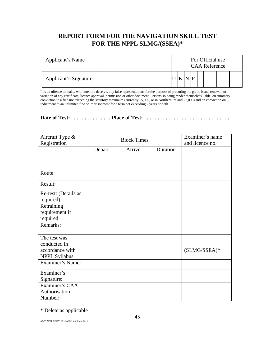## **REPORT FORM FOR THE NAVIGATION SKILL TEST FOR THE NPPL SLMG/(SSEA)\***

| Applicant's Name      |  |  | For Official use<br><b>CAA Reference</b> |  |  |  |  |
|-----------------------|--|--|------------------------------------------|--|--|--|--|
| Applicant's Signature |  |  |                                          |  |  |  |  |

It is an offence to make, with intent to deceive, any false representations for the purpose of procuring the grant, issue, renewal, or variation of any certificate, licence approval, permission or other document. Persons so doing render themselves liable, on summary conviction to a fine not exceeding the statutory maximum (currently £5,000, or in Northern Ireland £2,000) and on conviction on indictment to an unlimited fine or imprisonment for a term not exceeding 2 years or both.

## **Date of Test: . . . . . . . . . . . . . . . Place of Test: . . . . . . . . . . . . . . . . . . . . . . . . . . . . . . . . .**

| Aircraft Type &<br>Registration                                                             | <b>Block Times</b> |        |          | Examiner's name<br>and licence no. |
|---------------------------------------------------------------------------------------------|--------------------|--------|----------|------------------------------------|
|                                                                                             | Depart             | Arrive | Duration |                                    |
|                                                                                             |                    |        |          |                                    |
| Route:                                                                                      |                    |        |          |                                    |
| Result:                                                                                     |                    |        |          |                                    |
| Re-test: (Details as<br>required)                                                           |                    |        |          |                                    |
| Retraining<br>requirement if<br>required:                                                   |                    |        |          |                                    |
| Remarks:                                                                                    |                    |        |          |                                    |
| The test was<br>conducted in<br>accordance with<br><b>NPPL Syllabus</b><br>Examiner's Name: |                    |        |          | $(SLMG/SSEA)*$                     |
| Examiner's<br>Signature:                                                                    |                    |        |          |                                    |
| Examiner's CAA<br>Authorisation<br>Number:                                                  |                    |        |          |                                    |

\* Delete as applicable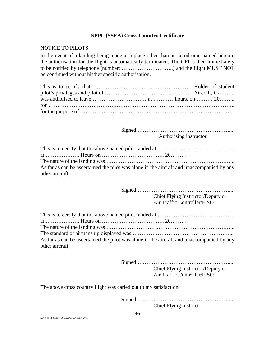### **NPPL (SSEA) Cross Country Certificate**

## NOTICE TO PILOTS

In the event of a landing being made at a place other than an aerodrome named hereon, the authorisation for the flight is automatically terminated. The CFI is then immediately to be notified by telephone (number: ………………………..) and the flight MUST NOT be continued without his/her specific authorisation.

Signed ……………………………………………... Authorising instructor

| As far as can be ascertained the pilot was alone in the aircraft and unaccompanied by any |
|-------------------------------------------------------------------------------------------|
| other aircraft.                                                                           |

Signed ……………………………………………...

Chief Flying Instructor/Deputy or Air Traffic Controller/FISO

| As far as can be ascertained the pilot was alone in the aircraft and unaccompanied by any |
|-------------------------------------------------------------------------------------------|
| other aircraft.                                                                           |

Signed ……………………………………………... Chief Flying Instructor/Deputy or Air Traffic Controller/FISO

The above cross country flight was caried out to my satisfaction.

Signed ……………………………………………...

Chief Flying Instructor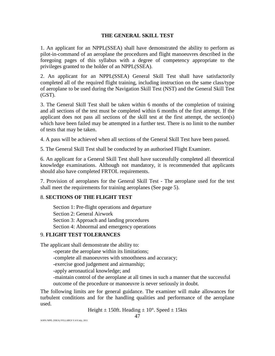### **THE GENERAL SKILL TEST**

1. An applicant for an NPPL(SSEA) shall have demonstrated the ability to perform as pilot-in-command of an aeroplane the procedures and flight manoeuvres described in the foregoing pages of this syllabus with a degree of competency appropriate to the privileges granted to the holder of an NPPL(SSEA).

2. An applicant for an NPPL(SSEA) General Skill Test shall have satisfactorily completed all of the required flight training, including instruction on the same class/type of aeroplane to be used during the Navigation Skill Test (NST) and the General Skill Test (GST).

3. The General Skill Test shall be taken within 6 months of the completion of training and all sections of the test must be completed within 6 months of the first attempt. If the applicant does not pass all sections of the skill test at the first attempt, the section(s) which have been failed may be attempted in a further test. There is no limit to the number of tests that may be taken.

4. A pass will be achieved when all sections of the General Skill Test have been passed.

5. The General Skill Test shall be conducted by an authorised Flight Examiner.

6. An applicant for a General Skill Test shall have successfully completed all theoretical knowledge examinations. Although not mandatory, it is recommended that applicants should also have completed FRTOL requirements.

7. Provision of aeroplanes for the General Skill Test - The aeroplane used for the test shall meet the requirements for training aeroplanes (See page 5).

## 8. **SECTIONS OF THE FLIGHT TEST**

Section 1: Pre-flight operations and departure Section 2: General Airwork Section 3: Approach and landing procedures Section 4: Abnormal and emergency operations

## 9. **FLIGHT TEST TOLERANCES**

The applicant shall demonstrate the ability to:

-operate the aeroplane within its limitations;

-complete all manoeuvres with smoothness and accuracy;

-exercise good judgement and airmanship;

-apply aeronautical knowledge; and

-maintain control of the aeroplane at all times in such a manner that the successful outcome of the procedure or manoeuvre is never seriously in doubt.

The following limits are for general guidance. The examiner will make allowances for turbulent conditions and for the handling qualities and performance of the aeroplane used.

Height  $\pm$  150ft. Heading  $\pm$  10°. Speed  $\pm$  15kts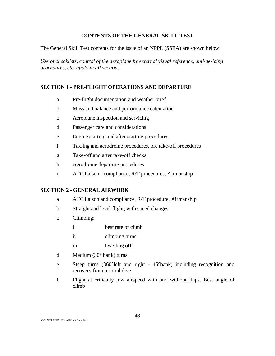## **CONTENTS OF THE GENERAL SKILL TEST**

The General Skill Test contents for the issue of an NPPL (SSEA) are shown below:

*Use of checklists, control of the aeroplane by external visual reference, anti/de-icing procedures, etc. apply in all sections.* 

## **SECTION 1 - PRE-FLIGHT OPERATIONS AND DEPARTURE**

- a Pre-flight documentation and weather brief
- b Mass and balance and performance calculation
- c Aeroplane inspection and servicing
- d Passenger care and considerations
- e Engine starting and after starting procedures
- f Taxiing and aerodrome procedures, pre take-off procedures
- g Take-off and after take-off checks
- h Aerodrome departure procedures
- i ATC liaison compliance, R/T procedures, Airmanship

#### **SECTION 2 - GENERAL AIRWORK**

- a ATC liaison and compliance, R/T procedure, Airmanship
- b Straight and level flight, with speed changes
- c Climbing:
	- i best rate of climb
	- ii climbing turns
	- iii levelling off
- d Medium (30° bank) turns
- e Steep turns (360°left and right 45°bank) including recognition and recovery from a spiral dive
- f Flight at critically low airspeed with and without flaps. Best angle of climb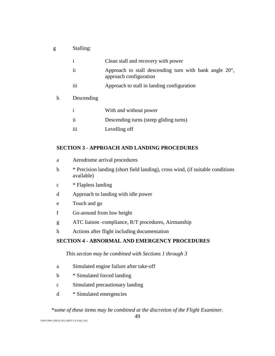g Stalling:

|   | $\mathbf{i}$        | Clean stall and recovery with power                                                        |
|---|---------------------|--------------------------------------------------------------------------------------------|
|   | $\ddot{\mathbf{i}}$ | Approach to stall descending turn with bank angle $20^{\circ}$ ,<br>approach configuration |
|   | iii                 | Approach to stall in landing configuration                                                 |
| h | Descending          |                                                                                            |
|   | $\mathbf{i}$        | With and without power                                                                     |
|   | ii                  | Descending turns (steep gliding turns)                                                     |
|   | iii                 | Levelling off                                                                              |

## **SECTION 3 - APPROACH AND LANDING PROCEDURES**

| a | Aerodrome arrival procedures |  |
|---|------------------------------|--|
|   |                              |  |

- b \* Precision landing (short field landing), cross wind, (if suitable conditions available)
- c \* Flapless landing
- d Approach to landing with idle power
- e Touch and go
- f Go-around from low height
- g ATC liaison -compliance, R/T procedures, Airmanship
- h Actions after flight including documentation

## **SECTION 4 - ABNORMAL AND EMERGENCY PROCEDURES**

## *This section may be combined with Sections 1 through 3*

- a Simulated engine failure after take-off
- b \* Simulated forced landing
- c Simulated precautionary landing
- d \* Simulated emergencies

## \**some of these items may be combined at the discretion of the Flight Examiner.*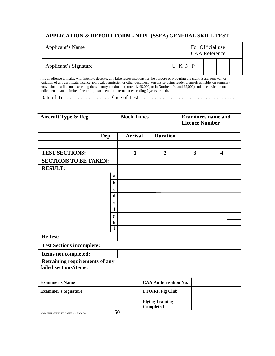## **APPLICATION & REPORT FORM - NPPL (SSEA) GENERAL SKILL TEST**

| Applicant's Name      |  |  | For Official use<br><b>CAA Reference</b> |  |  |  |  |
|-----------------------|--|--|------------------------------------------|--|--|--|--|
| Applicant's Signature |  |  |                                          |  |  |  |  |

It is an offence to make, with intent to deceive, any false representations for the purpose of procuring the grant, issue, renewal, or variation of any certificate, licence approval, permission or other document. Persons so doing render themselves liable, on summary conviction to a fine not exceeding the statutory maximum (currently £5,000, or in Northern Ireland £2,000) and on conviction on indictment to an unlimited fine or imprisonment for a term not exceeding 2 years or both.

Date of Test: . . . . . . . . . . . . . . . Place of Test: . . . . . . . . . . . . . . . . . . . . . . . . . . . . . . . . . . .

| Aircraft Type & Reg.                                     |      |                  | <b>Block Times</b> |                                            | <b>Examiners name and</b><br><b>Licence Number</b> |                         |  |  |
|----------------------------------------------------------|------|------------------|--------------------|--------------------------------------------|----------------------------------------------------|-------------------------|--|--|
|                                                          | Dep. |                  | <b>Arrival</b>     | <b>Duration</b>                            |                                                    |                         |  |  |
|                                                          |      |                  |                    |                                            |                                                    |                         |  |  |
| <b>TEST SECTIONS:</b>                                    |      |                  | $\mathbf{1}$       | $\overline{2}$                             | 3                                                  | $\overline{\mathbf{4}}$ |  |  |
| <b>SECTIONS TO BE TAKEN:</b>                             |      |                  |                    |                                            |                                                    |                         |  |  |
| <b>RESULT:</b>                                           |      |                  |                    |                                            |                                                    |                         |  |  |
|                                                          |      | a                |                    |                                            |                                                    |                         |  |  |
|                                                          |      | $\mathbf b$      |                    |                                            |                                                    |                         |  |  |
|                                                          |      | $\mathbf c$      |                    |                                            |                                                    |                         |  |  |
|                                                          |      | d                |                    |                                            |                                                    |                         |  |  |
|                                                          |      | e<br>$\mathbf f$ |                    |                                            |                                                    |                         |  |  |
|                                                          |      |                  |                    |                                            |                                                    |                         |  |  |
|                                                          |      | g<br>$\mathbf h$ |                    |                                            |                                                    |                         |  |  |
|                                                          |      | $\mathbf{i}$     |                    |                                            |                                                    |                         |  |  |
| <b>Re-test:</b>                                          |      |                  |                    |                                            |                                                    |                         |  |  |
| <b>Test Sections incomplete:</b>                         |      |                  |                    |                                            |                                                    |                         |  |  |
| Items not completed:                                     |      |                  |                    |                                            |                                                    |                         |  |  |
| Retraining requirements of any<br>failed sections/items: |      |                  |                    |                                            |                                                    |                         |  |  |
| <b>Examiner's Name</b>                                   |      |                  |                    | <b>CAA Authorisation No.</b>               |                                                    |                         |  |  |
| <b>Examiner's Signature</b>                              |      |                  |                    | <b>FTO/RF/Flg Club</b>                     |                                                    |                         |  |  |
|                                                          |      |                  |                    | <b>Flying Training</b><br><b>Completed</b> |                                                    |                         |  |  |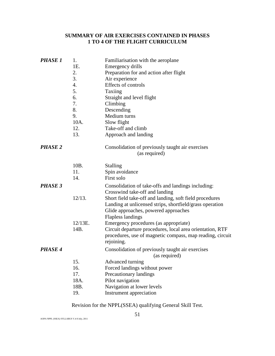## **SUMMARY OF AIR EXERCISES CONTAINED IN PHASES 1 TO 4 OF THE FLIGHT CURRICULUM**

| <b>PHASE 1</b> | 1.<br>1E.<br>2.<br>3.<br>4.<br>5.<br>6.<br>7.<br>8.<br>9.<br>10A. | Familiarisation with the aeroplane<br>Emergency drills<br>Preparation for and action after flight<br>Air experience<br>Effects of controls<br>Taxiing<br>Straight and level flight<br>Climbing<br>Descending<br>Medium turns<br>Slow flight |
|----------------|-------------------------------------------------------------------|---------------------------------------------------------------------------------------------------------------------------------------------------------------------------------------------------------------------------------------------|
|                | 12.                                                               | Take-off and climb                                                                                                                                                                                                                          |
|                | 13.                                                               | Approach and landing                                                                                                                                                                                                                        |
| <b>PHASE 2</b> |                                                                   | Consolidation of previously taught air exercises<br>(as required)                                                                                                                                                                           |
|                | 10B.                                                              | <b>Stalling</b>                                                                                                                                                                                                                             |
|                | 11.                                                               | Spin avoidance                                                                                                                                                                                                                              |
|                | 14.                                                               | First solo                                                                                                                                                                                                                                  |
| <b>PHASE 3</b> |                                                                   | Consolidation of take-offs and landings including:                                                                                                                                                                                          |
|                | 12/13.                                                            | Crosswind take-off and landing<br>Short field take-off and landing, soft field procedures<br>Landing at unlicensed strips, shortfield/grass operation<br>Glide approaches, powered approaches<br><b>Flapless landings</b>                   |
|                | $12/13E$ .                                                        | Emergency procedures (as appropriate)                                                                                                                                                                                                       |
|                | 14B.                                                              | Circuit departure procedures, local area orientation, RTF<br>procedures, use of magnetic compass, map reading, circuit<br>rejoining.                                                                                                        |
| <b>PHASE 4</b> |                                                                   | Consolidation of previously taught air exercises<br>(as required)                                                                                                                                                                           |
|                | 15.                                                               | Advanced turning                                                                                                                                                                                                                            |
|                | 16.                                                               | Forced landings without power                                                                                                                                                                                                               |
|                | 17.                                                               | Precautionary landings                                                                                                                                                                                                                      |
|                | 18A.                                                              | Pilot navigation                                                                                                                                                                                                                            |
|                | 18B.                                                              | Navigation at lower levels                                                                                                                                                                                                                  |
|                | 19.                                                               | Instrument appreciation                                                                                                                                                                                                                     |

## Revision for the NPPL(SSEA) qualifying General Skill Test.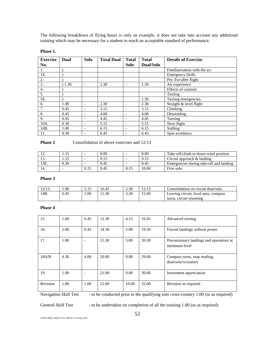The following breakdown of flying hours is only an example, it does not take into account any additional training which may be necessary for a student to reach an acceptable standard of performance.

#### **Phase 1.**

| <b>Exercise</b>   | Dual | <b>Solo</b>              | <b>Total Dual</b> | <b>Total</b>             | <b>Total</b> | <b>Details of Exercise</b>     |
|-------------------|------|--------------------------|-------------------|--------------------------|--------------|--------------------------------|
| No.               |      |                          |                   | Solo                     | Dual/Solo    |                                |
| 1.                |      |                          |                   |                          |              | Familiarisation with the $a/c$ |
| 1E.               |      |                          |                   |                          |              | <b>Emergency Drills</b>        |
| 2.                |      |                          |                   |                          |              | Pre. For/after flight          |
| 3.                | 1.30 | $\overline{\phantom{a}}$ | 1.30              |                          | 1.30         | Air experience                 |
| $\overline{4}$ .  |      |                          |                   |                          |              | Effects of controls            |
| 5.                |      |                          |                   |                          |              | Taxiing                        |
| 5E.               |      |                          |                   |                          | 1.30         | Taxiing emergencies            |
| 6.                | 1.00 |                          | 2.30              |                          | 2.30         | Straight & level flight        |
| 7.                | 0.45 | $\overline{\phantom{a}}$ | 3.15              | $\overline{\phantom{0}}$ | 3.15         | Climbing                       |
| 8.                | 0.45 | $\overline{\phantom{a}}$ | 4.00              | $\overline{\phantom{0}}$ | 4.00         | Descending                     |
| 9.                | 0.45 | $\overline{\phantom{a}}$ | 4.45              | ٠                        | 4.45         | Turning                        |
| 10A.              | 0.30 | $\overline{\phantom{0}}$ | 5.15              | $\overline{\phantom{0}}$ | 5.15         | Slow flight                    |
| 10 <sub>B</sub> . | 1.00 | $\overline{\phantom{0}}$ | 6.15              | $\overline{\phantom{0}}$ | 6.15         | Stalling                       |
| 11.               | 0.30 | $\overline{\phantom{0}}$ | 6.45              | $\overline{\phantom{0}}$ | 6.45         | Spin avoidance                 |

#### **Phase 2** Consolidation of above exercises and 12/13

| 14. | .    |      | 8.00 |      | 8.00  | Take-off/climb to down-wind position    |
|-----|------|------|------|------|-------|-----------------------------------------|
| 1J. | .    |      | 9.15 |      | 9.15  | Circuit approach & landing              |
| 3E. | 0.30 |      | 9.45 |      | 9.45  | Emergencies during take-off and landing |
|     |      | 0.15 | 9.45 | 0.15 | 10.00 | First solo                              |

#### **Phase 3**

| 12/13. | 0.00 | ل 1 . | 10.45 | 2.30 |       | Consolidation on circuit dual/solo   |
|--------|------|-------|-------|------|-------|--------------------------------------|
| 14B.   | 0.45 | .00   | 1.30  | 3.30 | 15.00 | Leaving circuit, local area, compass |
|        |      |       |       |      |       | turns, circuit rejoining             |

#### **Phase 4**

| 15.      | 1.00 | 0.45                     | 12.30 | 4.15  | 16.45 | Advanced turning                                          |
|----------|------|--------------------------|-------|-------|-------|-----------------------------------------------------------|
| 16.      | 2.00 | 0.45                     | 14.30 | 5.00  | 19.30 | Forced landings without power                             |
| 17.      | 1.00 | $\overline{\phantom{0}}$ | 15.30 | 5.00  | 20.30 | Precautionary landings and operations at<br>minimum level |
| 18A/B    | 4.30 | 4.00                     | 20.00 | 9.00  | 29.00 | Compass turns, map reading,<br>dual/solo/x/country        |
| 19.      | 1.00 | $\overline{\phantom{0}}$ | 21.00 | 9.00  | 30.00 | Instrument appreciation                                   |
| Revision | 1.00 | 1.00                     | 22.00 | 10.00 | 32.00 | Revision as required                                      |

Navigation Skill Test - to be conducted prior to the qualifying solo cross-country 1.00 (or as required)

General Skill Test - to be undertaken on completion of all the training 1.00 (or as required)